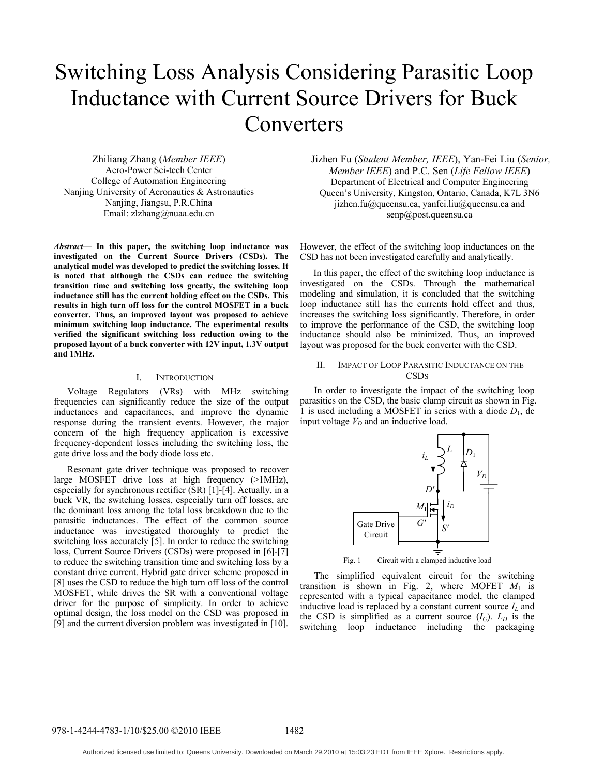# Switching Loss Analysis Considering Parasitic Loop Inductance with Current Source Drivers for Buck **Converters**

Zhiliang Zhang (*Member IEEE*) Aero-Power Sci-tech Center College of Automation Engineering Nanjing University of Aeronautics & Astronautics Nanjing, Jiangsu, P.R.China Email: zlzhang@nuaa.edu.cn

*Abstract***— In this paper, the switching loop inductance was investigated on the Current Source Drivers (CSDs). The analytical model was developed to predict the switching losses. It is noted that although the CSDs can reduce the switching transition time and switching loss greatly, the switching loop inductance still has the current holding effect on the CSDs. This results in high turn off loss for the control MOSFET in a buck converter. Thus, an improved layout was proposed to achieve minimum switching loop inductance. The experimental results verified the significant switching loss reduction owing to the proposed layout of a buck converter with 12V input, 1.3V output and 1MHz.** 

### I. INTRODUCTION

Voltage Regulators (VRs) with MHz switching frequencies can significantly reduce the size of the output inductances and capacitances, and improve the dynamic response during the transient events. However, the major concern of the high frequency application is excessive frequency-dependent losses including the switching loss, the gate drive loss and the body diode loss etc.

Resonant gate driver technique was proposed to recover large MOSFET drive loss at high frequency (>1MHz), especially for synchronous rectifier (SR) [1]-[4]. Actually, in a buck VR, the switching losses, especially turn off losses, are the dominant loss among the total loss breakdown due to the parasitic inductances. The effect of the common source inductance was investigated thoroughly to predict the switching loss accurately [5]. In order to reduce the switching loss, Current Source Drivers (CSDs) were proposed in [6]-[7] to reduce the switching transition time and switching loss by a constant drive current. Hybrid gate driver scheme proposed in [8] uses the CSD to reduce the high turn off loss of the control MOSFET, while drives the SR with a conventional voltage driver for the purpose of simplicity. In order to achieve optimal design, the loss model on the CSD was proposed in [9] and the current diversion problem was investigated in [10].

Jizhen Fu (*Student Member, IEEE*), Yan-Fei Liu (*Senior, Member IEEE*) and P.C. Sen (*Life Fellow IEEE*) Department of Electrical and Computer Engineering Queen's University, Kingston, Ontario, Canada, K7L 3N6 jizhen.fu@queensu.ca, yanfei.liu@queensu.ca and senp@post.queensu.ca

However, the effect of the switching loop inductances on the CSD has not been investigated carefully and analytically.

In this paper, the effect of the switching loop inductance is investigated on the CSDs. Through the mathematical modeling and simulation, it is concluded that the switching loop inductance still has the currents hold effect and thus, increases the switching loss significantly. Therefore, in order to improve the performance of the CSD, the switching loop inductance should also be minimized. Thus, an improved layout was proposed for the buck converter with the CSD.

# II. IMPACT OF LOOP PARASITIC INDUCTANCE ON THE CSDS

In order to investigate the impact of the switching loop parasitics on the CSD, the basic clamp circuit as shown in Fig. 1 is used including a MOSFET in series with a diode  $D_1$ , dc input voltage  $V_D$  and an inductive load.



The simplified equivalent circuit for the switching transition is shown in Fig. 2, where MOFET  $M_1$  is represented with a typical capacitance model, the clamped inductive load is replaced by a constant current source  $I_L$  and the CSD is simplified as a current source  $(I_G)$ .  $L_D$  is the switching loop inductance including the packaging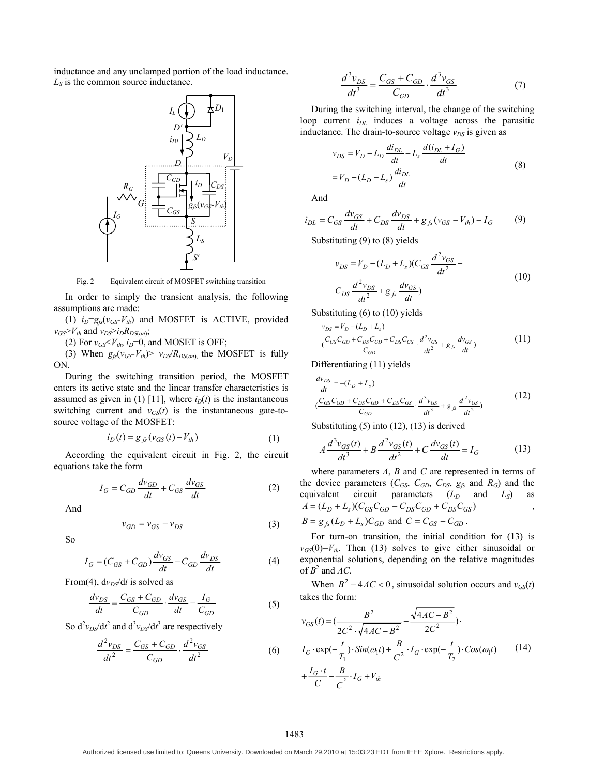inductance and any unclamped portion of the load inductance.  $L<sub>S</sub>$  is the common source inductance.



Fig. 2 Equivalent circuit of MOSFET switching transition

In order to simply the transient analysis, the following assumptions are made:

(1)  $i_D = g_f(s_V - V_{th})$  and MOSFET is ACTIVE, provided  $v_{GS}$ > $V_{th}$  and  $v_{DS}$ > $i_D$  $R_{DS(on)}$ ;

(2) For  $v_{GS} < V_{th}$ ,  $i_D=0$ , and MOSET is OFF;

(3) When  $g_f(v_{GS} - V_{th}) > v_{DS}/R_{DS(0n)}$ , the MOSFET is fully ON.

During the switching transition period, the MOSFET enters its active state and the linear transfer characteristics is assumed as given in (1) [11], where  $i_D(t)$  is the instantaneous switching current and  $v_{GS}(t)$  is the instantaneous gate-tosource voltage of the MOSFET:

$$
i_D(t) = g_{fs}(v_{GS}(t) - V_{th})
$$
\n(1)

According the equivalent circuit in Fig. 2, the circuit equations take the form

$$
I_G = C_{GD} \frac{dv_{GD}}{dt} + C_{GS} \frac{dv_{GS}}{dt}
$$
 (2)

And

$$
v_{GD} = v_{GS} - v_{DS} \tag{3}
$$

So

$$
I_G = (C_{GS} + C_{GD})\frac{dv_{GS}}{dt} - C_{GD}\frac{dv_{DS}}{dt}
$$
 (4)

From(4),  $dv_{DS}/dt$  is solved as

$$
\frac{dv_{DS}}{dt} = \frac{C_{GS} + C_{GD}}{C_{GD}} \cdot \frac{dv_{GS}}{dt} - \frac{I_G}{C_{GD}}
$$
(5)

So  $d^2v_{DS}/dt^2$  and  $d^3v_{DS}/dt^3$  are respectively

$$
\frac{d^2v_{DS}}{dt^2} = \frac{C_{GS} + C_{GD}}{C_{GD}} \cdot \frac{d^2v_{GS}}{dt^2}
$$
 (6)

$$
\frac{d^3 v_{DS}}{dt^3} = \frac{C_{GS} + C_{GD}}{C_{GD}} \cdot \frac{d^3 v_{GS}}{dt^3}
$$
 (7)

During the switching interval, the change of the switching loop current *i<sub>DL</sub>* induces a voltage across the parasitic inductance. The drain-to-source voltage  $v_{DS}$  is given as

$$
v_{DS} = V_D - L_D \frac{di_{DL}}{dt} - L_s \frac{d(i_{DL} + I_G)}{dt}
$$
  
=  $V_D - (L_D + L_s) \frac{di_{DL}}{dt}$  (8)

And

$$
i_{DL} = C_{GS} \frac{dv_{GS}}{dt} + C_{DS} \frac{dv_{DS}}{dt} + g_{fs}(v_{GS} - V_{th}) - I_G \tag{9}
$$

Substituting (9) to (8) yields

$$
v_{DS} = V_D - (L_D + L_s)(C_{GS}\frac{d^2v_{GS}}{dt^2} + C_{DS}\frac{d^2v_{DS}}{dt^2} + g_{fs}\frac{dv_{GS}}{dt})
$$
\n(10)

Substituting (6) to (10) yields

$$
v_{DS} = V_D - (L_D + L_s) \n\frac{C_{GS}C_{GD} + C_{DS}C_{GD} + C_{DS}C_{GS}}{C_{GD}} \cdot \frac{d^2 v_{GS}}{dt^2} + g_{fs} \frac{dv_{GS}}{dt}
$$
\n(11)

Differentiating (11) yields

$$
\frac{dv_{DS}}{dt} = -(L_D + L_s)
$$
\n
$$
(\frac{C_{GS}C_{GD} + C_{DS}C_{GD} + C_{DS}C_{GS}}{C_{GD}} \cdot \frac{d^3v_{GS}}{dt^3} + g_{fs}\frac{d^2v_{GS}}{dt^2})
$$
\n(12)

Substituting (5) into (12), (13) is derived

$$
A\frac{d^3v_{GS}(t)}{dt^3} + B\frac{d^2v_{GS}(t)}{dt^2} + C\frac{dv_{GS}(t)}{dt} = I_G
$$
 (13)

where parameters *A*, *B* and *C* are represented in terms of the device parameters  $(C_{GS}, C_{GD}, C_{DS}, g_f$  and  $R_G$ ) and the equivalent circuit parameters ( $L_D$  and  $L_S$ ) as  $A = (L_D + L_s)(C_{GS}C_{GD} + C_{DS}C_{GD} + C_{DS}C_{GS})$  $B = g_{fs}(L_D + L_s)C_{GD}$  and  $C = C_{GS} + C_{GD}$ .

For turn-on transition, the initial condition for (13) is  $v_{GS}(0) = V_{th}$ . Then (13) solves to give either sinusoidal or exponential solutions, depending on the relative magnitudes of  $B^2$  and  $AC$ .

When  $B^2 - 4AC < 0$ , sinusoidal solution occurs and  $v_{GS}(t)$ takes the form:

$$
v_{GS}(t) = \left(\frac{B^2}{2C^2 \cdot \sqrt{4AC - B^2}} - \frac{\sqrt{4AC - B^2}}{2C^2}\right).
$$
  
\n
$$
I_G \cdot \exp(-\frac{t}{T_1}) \cdot \sin(\omega_1 t) + \frac{B}{C^2} \cdot I_G \cdot \exp(-\frac{t}{T_2}) \cdot \cos(\omega_1 t)
$$
(14)  
\n
$$
+ \frac{I_G \cdot t}{C} - \frac{B}{C^2} \cdot I_G + V_{th}
$$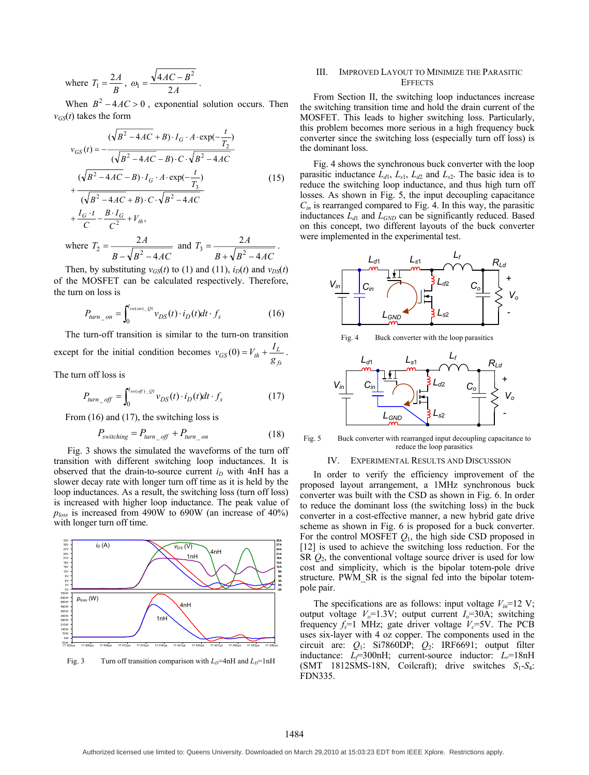where  $T_1 = \frac{2A}{B}$ ,  $\omega_1 = \frac{\sqrt{4AC - B}}{2A}$ 2  $4AC - B^2$  $\omega_1 = \frac{\sqrt{4AC - B^2}}{24}$ .

When  $B^2 - 4AC > 0$ , exponential solution occurs. Then  $v_{GS}(t)$  takes the form

$$
v_{GS}(t) = -\frac{(\sqrt{B^2 - 4AC} + B) \cdot I_G \cdot A \cdot \exp(-\frac{t}{T_2})}{(\sqrt{B^2 - 4AC} - B) \cdot C \cdot \sqrt{B^2 - 4AC}}
$$
  
+ 
$$
\frac{(\sqrt{B^2 - 4AC} - B) \cdot I_G \cdot A \cdot \exp(-\frac{t}{T_3})}{(\sqrt{B^2 - 4AC} + B) \cdot C \cdot \sqrt{B^2 - 4AC}}
$$
  
+ 
$$
\frac{I_G \cdot t}{C} - \frac{B \cdot I_G}{C^2} + V_{th},
$$

where  $B - \sqrt{B^2 - 4AC}$  $T_2 = \frac{2A}{\sqrt{2\pi}}$ 4  $a^2 - \frac{B}{B - \sqrt{B^2 - \frac{B^2}{A^2}}}$  $=$   $\frac{2A}{\sqrt{2}}$  and  $B + \sqrt{B^2 - 4AC}$  $T_3 = \frac{2A}{\sqrt{2\pi}}$ 4  $\frac{3}{B} + \sqrt{B^2 =$   $\frac{2A}{\sqrt{2\pi}}$ .

Then, by substituting  $v_{GS}(t)$  to (1) and (11),  $i_D(t)$  and  $v_{DS}(t)$ of the MOSFET can be calculated respectively. Therefore, the turn on loss is

$$
P_{turn\_on} = \int_0^{t_{sw,on}\_2} v_{DS}(t) \cdot i_D(t) dt \cdot f_s
$$
 (16)

The turn-off transition is similar to the turn-on transition except for the initial condition becomes *fs*  $v_{GS}(0) = V_{th} + \frac{I_L}{g_{fs}}$ .

The turn off loss is

$$
P_{turn\_off} = \int_0^{t_{sw(off)}\_Q1} v_{DS}(t) \cdot i_D(t) dt \cdot f_s \tag{17}
$$

From  $(16)$  and  $(17)$ , the switching loss is

$$
P_{switching} = P_{turn\_off} + P_{turn\_on}
$$
 (18)

Fig. 3 shows the simulated the waveforms of the turn off transition with different switching loop inductances. It is observed that the drain-to-source current  $i<sub>D</sub>$  with 4nH has a slower decay rate with longer turn off time as it is held by the loop inductances. As a result, the switching loss (turn off loss) is increased with higher loop inductance. The peak value of  $p_{loss}$  is increased from 490W to 690W (an increase of 40%) with longer turn off time.



Fig. 3 Turn off transition comparison with  $L_D$ =4nH and  $L_D$ =1nH

## III. IMPROVED LAYOUT TO MINIMIZE THE PARASITIC **EFFECTS**

From Section II, the switching loop inductances increase the switching transition time and hold the drain current of the MOSFET. This leads to higher switching loss. Particularly, this problem becomes more serious in a high frequency buck converter since the switching loss (especially turn off loss) is the dominant loss.

Fig. 4 shows the synchronous buck converter with the loop parasitic inductance  $L_{d1}$ ,  $L_{s1}$ ,  $L_{d2}$  and  $L_{s2}$ . The basic idea is to reduce the switching loop inductance, and thus high turn off losses. As shown in Fig. 5, the input decoupling capacitance  $C_{in}$  is rearranged compared to Fig. 4. In this way, the parasitic inductances  $L_{d1}$  and  $L_{GND}$  can be significantly reduced. Based on this concept, two different layouts of the buck converter were implemented in the experimental test.



Fig. 5 Buck converter with rearranged input decoupling capacitance to reduce the loop parasitics

#### IV. EXPERIMENTAL RESULTS AND DISCUSSION

In order to verify the efficiency improvement of the proposed layout arrangement, a 1MHz synchronous buck converter was built with the CSD as shown in Fig. 6. In order to reduce the dominant loss (the switching loss) in the buck converter in a cost-effective manner, a new hybrid gate drive scheme as shown in Fig. 6 is proposed for a buck converter. For the control MOSFET  $Q_1$ , the high side CSD proposed in [12] is used to achieve the switching loss reduction. For the SR  $Q_2$ , the conventional voltage source driver is used for low cost and simplicity, which is the bipolar totem-pole drive structure. PWM\_SR is the signal fed into the bipolar totempole pair.

The specifications are as follows: input voltage  $V_{in}$ =12 V; output voltage  $V_o=1.3V$ ; output current  $I_o=30A$ ; switching frequency  $f_s$ =1 MHz; gate driver voltage  $V_c$ =5V. The PCB uses six-layer with 4 oz copper. The components used in the circuit are: *Q*1: Si7860DP; *Q*2: IRF6691; output filter inductance:  $L_f$ =300nH; current-source inductor:  $L_f$ =18nH (SMT 1812SMS-18N, Coilcraft); drive switches  $S_1-S_4$ : FDN335.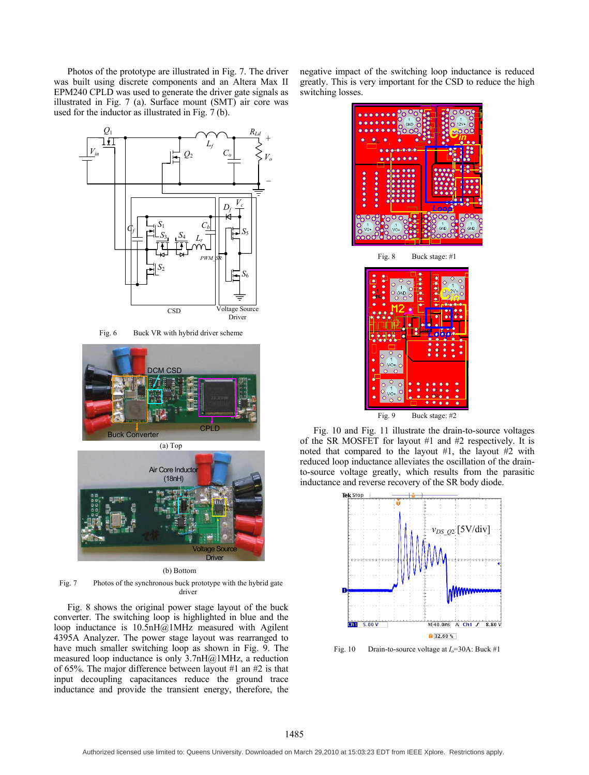Photos of the prototype are illustrated in Fig. 7. The driver was built using discrete components and an Altera Max II EPM240 CPLD was used to generate the driver gate signals as illustrated in Fig. 7 (a). Surface mount (SMT) air core was used for the inductor as illustrated in Fig. 7 (b).

negative impact of the switching loop inductance is reduced greatly. This is very important for the CSD to reduce the high switching losses.



Fig. 6 Buck VR with hybrid driver scheme



(a) Top



(b) Bottom

Fig. 7 Photos of the synchronous buck prototype with the hybrid gate driver

Fig. 8 shows the original power stage layout of the buck converter. The switching loop is highlighted in blue and the loop inductance is 10.5nH@1MHz measured with Agilent 4395A Analyzer. The power stage layout was rearranged to have much smaller switching loop as shown in Fig. 9. The measured loop inductance is only 3.7nH@1MHz, a reduction of 65%. The major difference between layout #1 an #2 is that input decoupling capacitances reduce the ground trace inductance and provide the transient energy, therefore, the



Fig. 10 and Fig. 11 illustrate the drain-to-source voltages of the SR MOSFET for layout #1 and #2 respectively. It is noted that compared to the layout #1, the layout #2 with reduced loop inductance alleviates the oscillation of the drainto-source voltage greatly, which results from the parasitic inductance and reverse recovery of the SR body diode.



Fig. 10 Drain-to-source voltage at  $I_0$ =30A: Buck #1